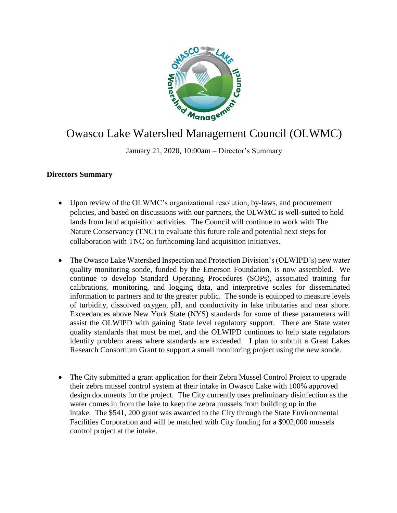

## Owasco Lake Watershed Management Council (OLWMC)

January 21, 2020, 10:00am – Director's Summary

## **Directors Summary**

- Upon review of the OLWMC's organizational resolution, by-laws, and procurement policies, and based on discussions with our partners, the OLWMC is well-suited to hold lands from land acquisition activities. The Council will continue to work with The Nature Conservancy (TNC) to evaluate this future role and potential next steps for collaboration with TNC on forthcoming land acquisition initiatives.
- The Owasco Lake Watershed Inspection and Protection Division's (OLWIPD's) new water quality monitoring sonde, funded by the Emerson Foundation, is now assembled. We continue to develop Standard Operating Procedures (SOPs), associated training for calibrations, monitoring, and logging data, and interpretive scales for disseminated information to partners and to the greater public. The sonde is equipped to measure levels of turbidity, dissolved oxygen, pH, and conductivity in lake tributaries and near shore. Exceedances above New York State (NYS) standards for some of these parameters will assist the OLWIPD with gaining State level regulatory support. There are State water quality standards that must be met, and the OLWIPD continues to help state regulators identify problem areas where standards are exceeded. I plan to submit a Great Lakes Research Consortium Grant to support a small monitoring project using the new sonde.
- The City submitted a grant application for their Zebra Mussel Control Project to upgrade their zebra mussel control system at their intake in Owasco Lake with 100% approved design documents for the project. The City currently uses preliminary disinfection as the water comes in from the lake to keep the zebra mussels from building up in the intake. The \$541, 200 grant was awarded to the City through the State Environmental Facilities Corporation and will be matched with City funding for a \$902,000 mussels control project at the intake.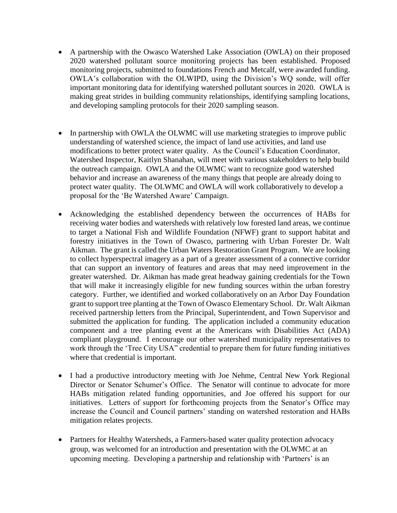- A partnership with the Owasco Watershed Lake Association (OWLA) on their proposed 2020 watershed pollutant source monitoring projects has been established. Proposed monitoring projects, submitted to foundations French and Metcalf, were awarded funding. OWLA's collaboration with the OLWIPD, using the Division's WQ sonde, will offer important monitoring data for identifying watershed pollutant sources in 2020. OWLA is making great strides in building community relationships, identifying sampling locations, and developing sampling protocols for their 2020 sampling season.
- In partnership with OWLA the OLWMC will use marketing strategies to improve public understanding of watershed science, the impact of land use activities, and land use modifications to better protect water quality. As the Council's Education Coordinator, Watershed Inspector, Kaitlyn Shanahan, will meet with various stakeholders to help build the outreach campaign. OWLA and the OLWMC want to recognize good watershed behavior and increase an awareness of the many things that people are already doing to protect water quality. The OLWMC and OWLA will work collaboratively to develop a proposal for the 'Be Watershed Aware' Campaign.
- Acknowledging the established dependency between the occurrences of HABs for receiving water bodies and watersheds with relatively low forested land areas, we continue to target a National Fish and Wildlife Foundation (NFWF) grant to support habitat and forestry initiatives in the Town of Owasco, partnering with Urban Forester Dr. Walt Aikman. The grant is called the Urban Waters Restoration Grant Program. We are looking to collect hyperspectral imagery as a part of a greater assessment of a connective corridor that can support an inventory of features and areas that may need improvement in the greater watershed. Dr. Aikman has made great headway gaining credentials for the Town that will make it increasingly eligible for new funding sources within the urban forestry category. Further, we identified and worked collaboratively on an Arbor Day Foundation grant to support tree planting at the Town of Owasco Elementary School. Dr. Walt Aikman received partnership letters from the Principal, Superintendent, and Town Supervisor and submitted the application for funding. The application included a community education component and a tree planting event at the Americans with Disabilities Act (ADA) compliant playground. I encourage our other watershed municipality representatives to work through the 'Tree City USA" credential to prepare them for future funding initiatives where that credential is important.
- I had a productive introductory meeting with Joe Nehme, Central New York Regional Director or Senator Schumer's Office. The Senator will continue to advocate for more HABs mitigation related funding opportunities, and Joe offered his support for our initiatives. Letters of support for forthcoming projects from the Senator's Office may increase the Council and Council partners' standing on watershed restoration and HABs mitigation relates projects.
- Partners for Healthy Watersheds, a Farmers-based water quality protection advocacy group, was welcomed for an introduction and presentation with the OLWMC at an upcoming meeting. Developing a partnership and relationship with 'Partners' is an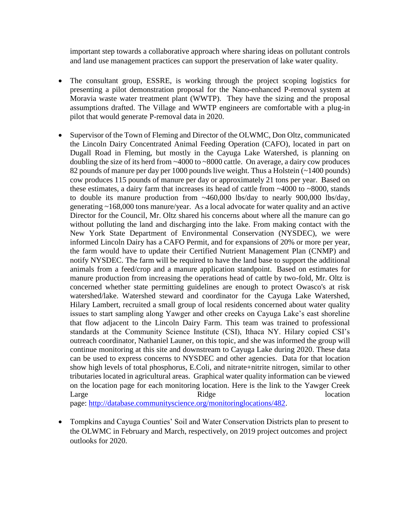important step towards a collaborative approach where sharing ideas on pollutant controls and land use management practices can support the preservation of lake water quality.

- The consultant group, ESSRE, is working through the project scoping logistics for presenting a pilot demonstration proposal for the Nano-enhanced P-removal system at Moravia waste water treatment plant (WWTP). They have the sizing and the proposal assumptions drafted. The Village and WWTP engineers are comfortable with a plug-in pilot that would generate P-removal data in 2020.
- Supervisor of the Town of Fleming and Director of the OLWMC, Don Oltz, communicated the Lincoln Dairy Concentrated Animal Feeding Operation (CAFO), located in part on Dugall Road in Fleming, but mostly in the Cayuga Lake Watershed, is planning on doubling the size of its herd from ~4000 to ~8000 cattle. On average, a dairy cow produces 82 pounds of manure per day per 1000 pounds live weight. Thus a Holstein (~1400 pounds) cow produces 115 pounds of manure per day or approximately 21 tons per year. Based on these estimates, a dairy farm that increases its head of cattle from ~4000 to ~8000, stands to double its manure production from ~460,000 lbs/day to nearly 900,000 lbs/day, generating ~168,000 tons manure/year. As a local advocate for water quality and an active Director for the Council, Mr. Oltz shared his concerns about where all the manure can go without polluting the land and discharging into the lake. From making contact with the New York State Department of Environmental Conservation (NYSDEC), we were informed Lincoln Dairy has a CAFO Permit, and for expansions of 20% or more per year, the farm would have to update their Certified Nutrient Management Plan (CNMP) and notify NYSDEC. The farm will be required to have the land base to support the additional animals from a feed/crop and a manure application standpoint. Based on estimates for manure production from increasing the operations head of cattle by two-fold, Mr. Oltz is concerned whether state permitting guidelines are enough to protect Owasco's at risk watershed/lake. Watershed steward and coordinator for the Cayuga Lake Watershed, Hilary Lambert, recruited a small group of local residents concerned about water quality issues to start sampling along Yawger and other creeks on Cayuga Lake's east shoreline that flow adjacent to the Lincoln Dairy Farm. This team was trained to professional standards at the Community Science Institute (CSI), Ithaca NY. Hilary copied CSI's outreach coordinator, Nathaniel Launer, on this topic, and she was informed the group will continue monitoring at this site and downstream to Cayuga Lake during 2020. These data can be used to express concerns to NYSDEC and other agencies. Data for that location show high levels of total phosphorus, E.Coli, and nitrate+nitrite nitrogen, similar to other tributaries located in agricultural areas. Graphical water quality information can be viewed on the location page for each monitoring location. Here is the link to the Yawger Creek Large location Ridge Ridge location

page: [http://database.communityscience.org/monitoringlocations/482.](http://database.communityscience.org/monitoringlocations/482)

• Tompkins and Cayuga Counties' Soil and Water Conservation Districts plan to present to the OLWMC in February and March, respectively, on 2019 project outcomes and project outlooks for 2020.